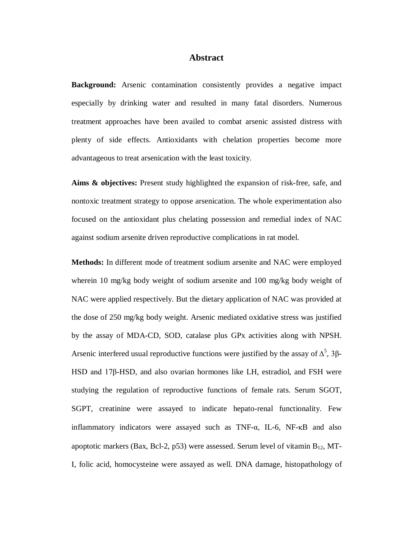## **Abstract**

**Background:** Arsenic contamination consistently provides a negative impact especially by drinking water and resulted in many fatal disorders. Numerous treatment approaches have been availed to combat arsenic assisted distress with plenty of side effects. Antioxidants with chelation properties become more advantageous to treat arsenication with the least toxicity.

**Aims & objectives:** Present study highlighted the expansion of risk-free, safe, and nontoxic treatment strategy to oppose arsenication. The whole experimentation also focused on the antioxidant plus chelating possession and remedial index of NAC against sodium arsenite driven reproductive complications in rat model.

**Methods:** In different mode of treatment sodium arsenite and NAC were employed wherein 10 mg/kg body weight of sodium arsenite and 100 mg/kg body weight of NAC were applied respectively. But the dietary application of NAC was provided at the dose of 250 mg/kg body weight. Arsenic mediated oxidative stress was justified by the assay of MDA-CD, SOD, catalase plus GPx activities along with NPSH. Arsenic interfered usual reproductive functions were justified by the assay of  $\Delta^5$ , 3 $\beta$ -HSD and 17β-HSD, and also ovarian hormones like LH, estradiol, and FSH were studying the regulation of reproductive functions of female rats. Serum SGOT, SGPT, creatinine were assayed to indicate hepato-renal functionality. Few inflammatory indicators were assayed such as TNF- $\alpha$ , IL-6, NF- $\kappa$ B and also apoptotic markers (Bax, Bcl-2, p53) were assessed. Serum level of vitamin  $B_{12}$ , MT-I, folic acid, homocysteine were assayed as well. DNA damage, histopathology of